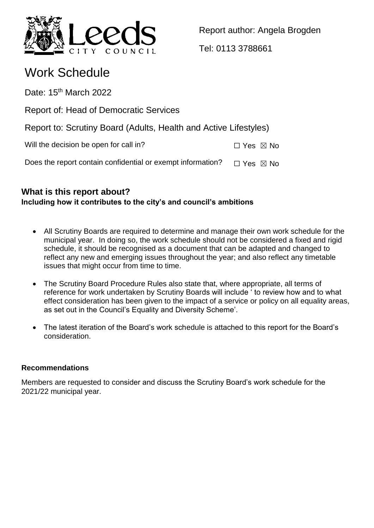

Report author: Angela Brogden

Tel: 0113 3788661

# Work Schedule

Date: 15<sup>th</sup> March 2022

Report of: Head of Democratic Services

Report to: Scrutiny Board (Adults, Health and Active Lifestyles)

Will the decision be open for call in?  $\square$  Yes  $\boxtimes$  No

Does the report contain confidential or exempt information?  $\Box$  Yes  $\boxtimes$  No

# **What is this report about? Including how it contributes to the city's and council's ambitions**

- All Scrutiny Boards are required to determine and manage their own work schedule for the municipal year. In doing so, the work schedule should not be considered a fixed and rigid schedule, it should be recognised as a document that can be adapted and changed to reflect any new and emerging issues throughout the year; and also reflect any timetable issues that might occur from time to time.
- The Scrutiny Board Procedure Rules also state that, where appropriate, all terms of reference for work undertaken by Scrutiny Boards will include ' to review how and to what effect consideration has been given to the impact of a service or policy on all equality areas, as set out in the Council's Equality and Diversity Scheme'.
- The latest iteration of the Board's work schedule is attached to this report for the Board's consideration.

# **Recommendations**

Members are requested to consider and discuss the Scrutiny Board's work schedule for the 2021/22 municipal year.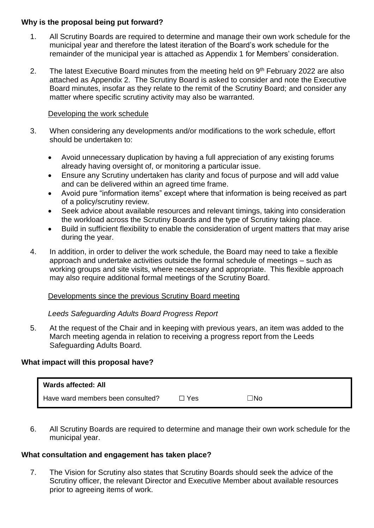#### **Why is the proposal being put forward?**

- 1. All Scrutiny Boards are required to determine and manage their own work schedule for the municipal year and therefore the latest iteration of the Board's work schedule for the remainder of the municipal year is attached as Appendix 1 for Members' consideration.
- 2. The latest Executive Board minutes from the meeting held on  $9<sup>th</sup>$  February 2022 are also attached as Appendix 2. The Scrutiny Board is asked to consider and note the Executive Board minutes, insofar as they relate to the remit of the Scrutiny Board; and consider any matter where specific scrutiny activity may also be warranted.

#### Developing the work schedule

- 3. When considering any developments and/or modifications to the work schedule, effort should be undertaken to:
	- Avoid unnecessary duplication by having a full appreciation of any existing forums already having oversight of, or monitoring a particular issue.
	- Ensure any Scrutiny undertaken has clarity and focus of purpose and will add value and can be delivered within an agreed time frame.
	- Avoid pure "information items" except where that information is being received as part of a policy/scrutiny review.
	- Seek advice about available resources and relevant timings, taking into consideration the workload across the Scrutiny Boards and the type of Scrutiny taking place.
	- Build in sufficient flexibility to enable the consideration of urgent matters that may arise during the year.
- 4. In addition, in order to deliver the work schedule, the Board may need to take a flexible approach and undertake activities outside the formal schedule of meetings – such as working groups and site visits, where necessary and appropriate. This flexible approach may also require additional formal meetings of the Scrutiny Board.

#### Developments since the previous Scrutiny Board meeting

### *Leeds Safeguarding Adults Board Progress Report*

5. At the request of the Chair and in keeping with previous years, an item was added to the March meeting agenda in relation to receiving a progress report from the Leeds Safeguarding Adults Board.

### **What impact will this proposal have?**

| Wards affected: All               |       |     |
|-----------------------------------|-------|-----|
| Have ward members been consulted? | □ Yes | ⊃No |

6. All Scrutiny Boards are required to determine and manage their own work schedule for the municipal year.

### **What consultation and engagement has taken place?**

7. The Vision for Scrutiny also states that Scrutiny Boards should seek the advice of the Scrutiny officer, the relevant Director and Executive Member about available resources prior to agreeing items of work.